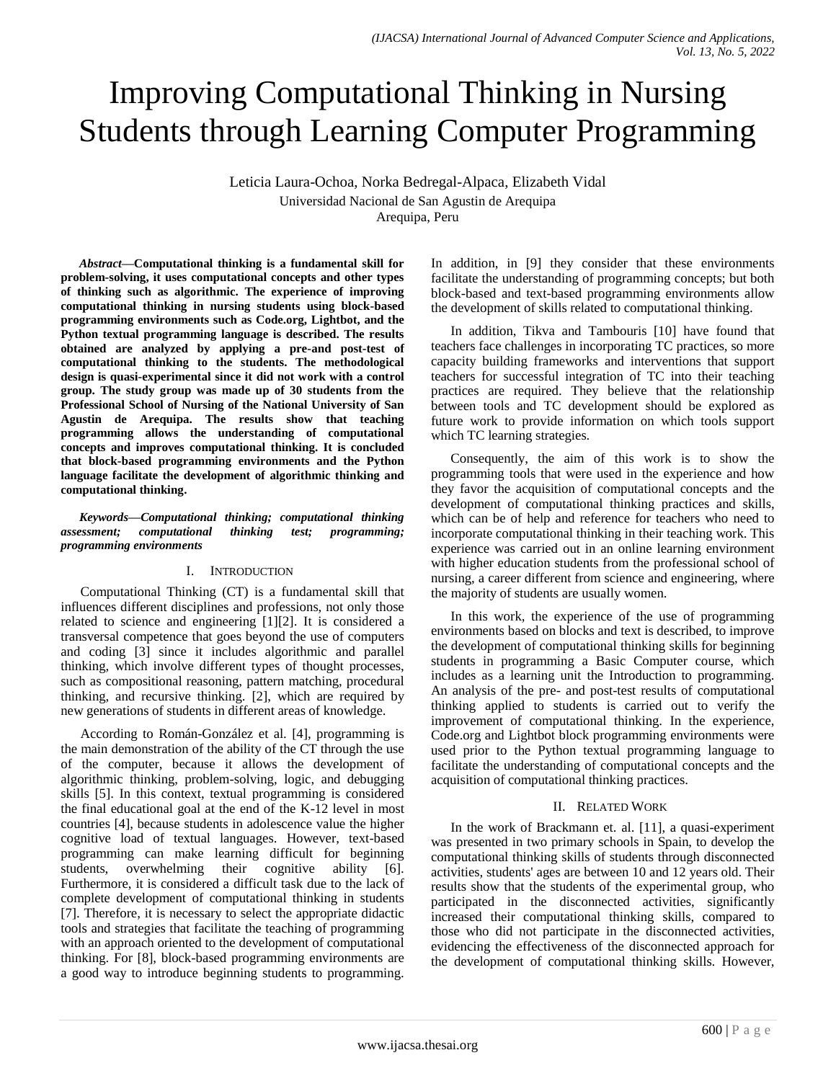# Improving Computational Thinking in Nursing Students through Learning Computer Programming

Leticia Laura-Ochoa, Norka Bedregal-Alpaca, Elizabeth Vidal Universidad Nacional de San Agustin de Arequipa Arequipa, Peru

*Abstract***—Computational thinking is a fundamental skill for problem-solving, it uses computational concepts and other types of thinking such as algorithmic. The experience of improving computational thinking in nursing students using block-based programming environments such as Code.org, Lightbot, and the Python textual programming language is described. The results obtained are analyzed by applying a pre-and post-test of computational thinking to the students. The methodological design is quasi-experimental since it did not work with a control group. The study group was made up of 30 students from the Professional School of Nursing of the National University of San Agustin de Arequipa. The results show that teaching programming allows the understanding of computational concepts and improves computational thinking. It is concluded that block-based programming environments and the Python language facilitate the development of algorithmic thinking and computational thinking.**

*Keywords—Computational thinking; computational thinking assessment; computational thinking test; programming; programming environments*

## I. INTRODUCTION

Computational Thinking (CT) is a fundamental skill that influences different disciplines and professions, not only those related to science and engineering [1][2]. It is considered a transversal competence that goes beyond the use of computers and coding [3] since it includes algorithmic and parallel thinking, which involve different types of thought processes, such as compositional reasoning, pattern matching, procedural thinking, and recursive thinking. [2], which are required by new generations of students in different areas of knowledge.

According to Román-González et al. [4], programming is the main demonstration of the ability of the CT through the use of the computer, because it allows the development of algorithmic thinking, problem-solving, logic, and debugging skills [5]. In this context, textual programming is considered the final educational goal at the end of the K-12 level in most countries [4], because students in adolescence value the higher cognitive load of textual languages. However, text-based programming can make learning difficult for beginning students, overwhelming their cognitive ability [6]. Furthermore, it is considered a difficult task due to the lack of complete development of computational thinking in students [7]. Therefore, it is necessary to select the appropriate didactic tools and strategies that facilitate the teaching of programming with an approach oriented to the development of computational thinking. For [8], block-based programming environments are a good way to introduce beginning students to programming. In addition, in [9] they consider that these environments facilitate the understanding of programming concepts; but both block-based and text-based programming environments allow the development of skills related to computational thinking.

In addition, Tikva and Tambouris [10] have found that teachers face challenges in incorporating TC practices, so more capacity building frameworks and interventions that support teachers for successful integration of TC into their teaching practices are required. They believe that the relationship between tools and TC development should be explored as future work to provide information on which tools support which TC learning strategies.

Consequently, the aim of this work is to show the programming tools that were used in the experience and how they favor the acquisition of computational concepts and the development of computational thinking practices and skills, which can be of help and reference for teachers who need to incorporate computational thinking in their teaching work. This experience was carried out in an online learning environment with higher education students from the professional school of nursing, a career different from science and engineering, where the majority of students are usually women.

In this work, the experience of the use of programming environments based on blocks and text is described, to improve the development of computational thinking skills for beginning students in programming a Basic Computer course, which includes as a learning unit the Introduction to programming. An analysis of the pre- and post-test results of computational thinking applied to students is carried out to verify the improvement of computational thinking. In the experience, Code.org and Lightbot block programming environments were used prior to the Python textual programming language to facilitate the understanding of computational concepts and the acquisition of computational thinking practices.

# II. RELATED WORK

In the work of Brackmann et. al. [11], a quasi-experiment was presented in two primary schools in Spain, to develop the computational thinking skills of students through disconnected activities, students' ages are between 10 and 12 years old. Their results show that the students of the experimental group, who participated in the disconnected activities, significantly increased their computational thinking skills, compared to those who did not participate in the disconnected activities, evidencing the effectiveness of the disconnected approach for the development of computational thinking skills. However,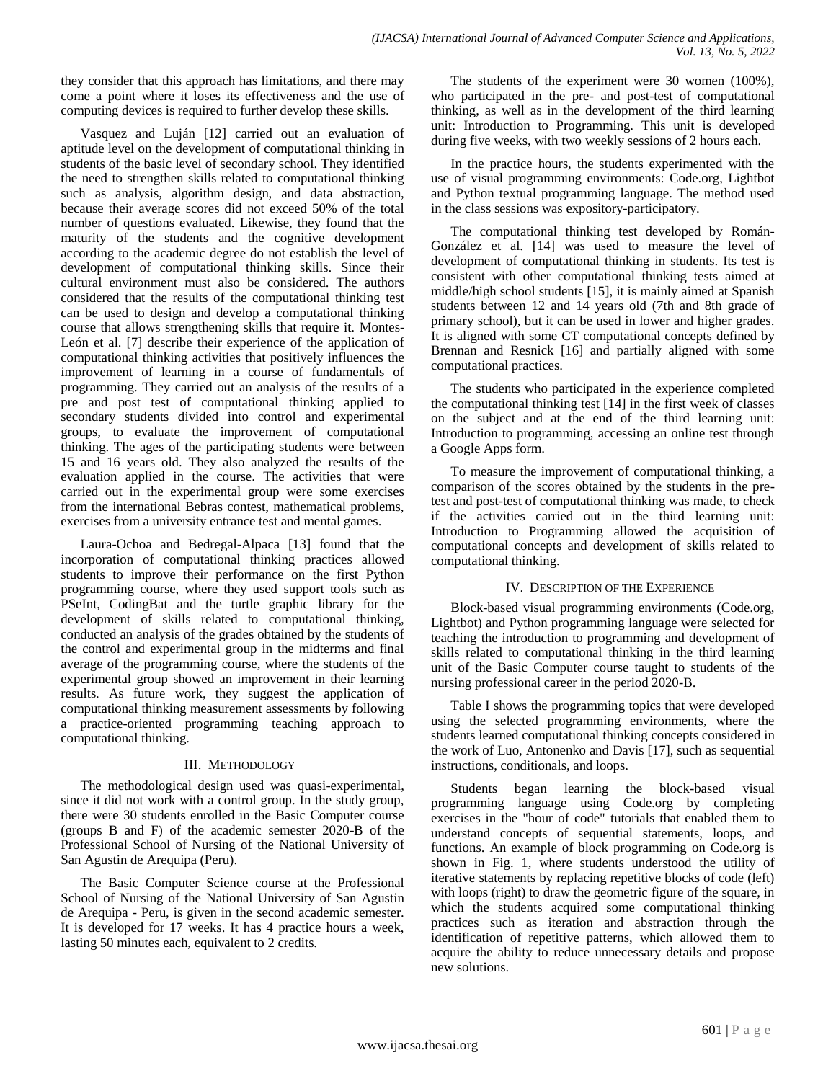they consider that this approach has limitations, and there may come a point where it loses its effectiveness and the use of computing devices is required to further develop these skills.

Vasquez and Luján [12] carried out an evaluation of aptitude level on the development of computational thinking in students of the basic level of secondary school. They identified the need to strengthen skills related to computational thinking such as analysis, algorithm design, and data abstraction, because their average scores did not exceed 50% of the total number of questions evaluated. Likewise, they found that the maturity of the students and the cognitive development according to the academic degree do not establish the level of development of computational thinking skills. Since their cultural environment must also be considered. The authors considered that the results of the computational thinking test can be used to design and develop a computational thinking course that allows strengthening skills that require it. Montes-León et al. [7] describe their experience of the application of computational thinking activities that positively influences the improvement of learning in a course of fundamentals of programming. They carried out an analysis of the results of a pre and post test of computational thinking applied to secondary students divided into control and experimental groups, to evaluate the improvement of computational thinking. The ages of the participating students were between 15 and 16 years old. They also analyzed the results of the evaluation applied in the course. The activities that were carried out in the experimental group were some exercises from the international Bebras contest, mathematical problems, exercises from a university entrance test and mental games.

Laura-Ochoa and Bedregal-Alpaca [13] found that the incorporation of computational thinking practices allowed students to improve their performance on the first Python programming course, where they used support tools such as PSeInt, CodingBat and the turtle graphic library for the development of skills related to computational thinking, conducted an analysis of the grades obtained by the students of the control and experimental group in the midterms and final average of the programming course, where the students of the experimental group showed an improvement in their learning results. As future work, they suggest the application of computational thinking measurement assessments by following a practice-oriented programming teaching approach to computational thinking.

# III. METHODOLOGY

The methodological design used was quasi-experimental, since it did not work with a control group. In the study group, there were 30 students enrolled in the Basic Computer course (groups B and F) of the academic semester 2020-B of the Professional School of Nursing of the National University of San Agustin de Arequipa (Peru).

The Basic Computer Science course at the Professional School of Nursing of the National University of San Agustin de Arequipa - Peru, is given in the second academic semester. It is developed for 17 weeks. It has 4 practice hours a week, lasting 50 minutes each, equivalent to 2 credits.

The students of the experiment were 30 women (100%), who participated in the pre- and post-test of computational thinking, as well as in the development of the third learning unit: Introduction to Programming. This unit is developed during five weeks, with two weekly sessions of 2 hours each.

In the practice hours, the students experimented with the use of visual programming environments: Code.org, Lightbot and Python textual programming language. The method used in the class sessions was expository-participatory.

The computational thinking test developed by Román-González et al. [14] was used to measure the level of development of computational thinking in students. Its test is consistent with other computational thinking tests aimed at middle/high school students [15], it is mainly aimed at Spanish students between 12 and 14 years old (7th and 8th grade of primary school), but it can be used in lower and higher grades. It is aligned with some CT computational concepts defined by Brennan and Resnick [16] and partially aligned with some computational practices.

The students who participated in the experience completed the computational thinking test [14] in the first week of classes on the subject and at the end of the third learning unit: Introduction to programming, accessing an online test through a Google Apps form.

To measure the improvement of computational thinking, a comparison of the scores obtained by the students in the pretest and post-test of computational thinking was made, to check if the activities carried out in the third learning unit: Introduction to Programming allowed the acquisition of computational concepts and development of skills related to computational thinking.

# IV. DESCRIPTION OF THE EXPERIENCE

Block-based visual programming environments (Code.org, Lightbot) and Python programming language were selected for teaching the introduction to programming and development of skills related to computational thinking in the third learning unit of the Basic Computer course taught to students of the nursing professional career in the period 2020-B.

Table I shows the programming topics that were developed using the selected programming environments, where the students learned computational thinking concepts considered in the work of Luo, Antonenko and Davis [17], such as sequential instructions, conditionals, and loops.

Students began learning the block-based visual programming language using Code.org by completing exercises in the "hour of code" tutorials that enabled them to understand concepts of sequential statements, loops, and functions. An example of block programming on Code.org is shown in Fig. 1, where students understood the utility of iterative statements by replacing repetitive blocks of code (left) with loops (right) to draw the geometric figure of the square, in which the students acquired some computational thinking practices such as iteration and abstraction through the identification of repetitive patterns, which allowed them to acquire the ability to reduce unnecessary details and propose new solutions.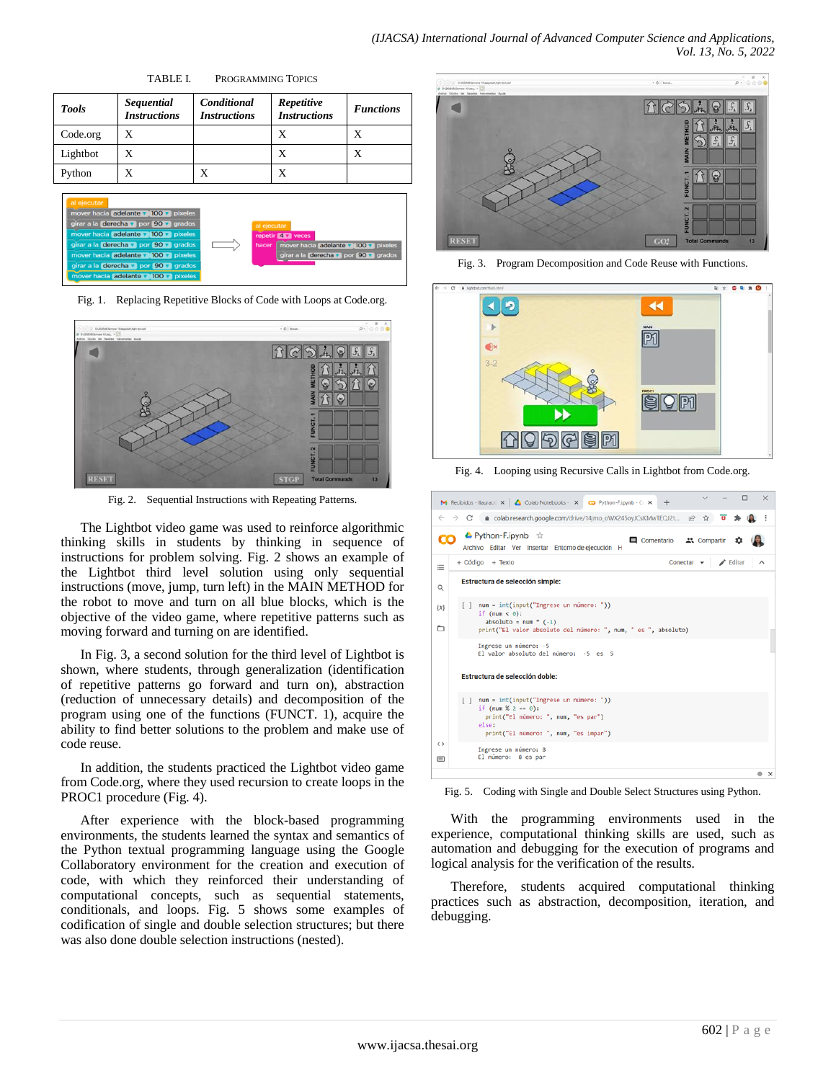TABLE I. PROGRAMMING TOPICS



Fig. 1. Replacing Repetitive Blocks of Code with Loops at Code.org.



Fig. 2. Sequential Instructions with Repeating Patterns.

The Lightbot video game was used to reinforce algorithmic thinking skills in students by thinking in sequence of instructions for problem solving. Fig. 2 shows an example of the Lightbot third level solution using only sequential instructions (move, jump, turn left) in the MAIN METHOD for the robot to move and turn on all blue blocks, which is the objective of the video game, where repetitive patterns such as moving forward and turning on are identified.

In Fig. 3, a second solution for the third level of Lightbot is shown, where students, through generalization (identification of repetitive patterns go forward and turn on), abstraction (reduction of unnecessary details) and decomposition of the program using one of the functions (FUNCT. 1), acquire the ability to find better solutions to the problem and make use of code reuse.

In addition, the students practiced the Lightbot video game from Code.org, where they used recursion to create loops in the PROC1 procedure (Fig. 4).

After experience with the block-based programming environments, the students learned the syntax and semantics of the Python textual programming language using the Google Collaboratory environment for the creation and execution of code, with which they reinforced their understanding of computational concepts, such as sequential statements, conditionals, and loops. Fig. 5 shows some examples of codification of single and double selection structures; but there was also done double selection instructions (nested).



Fig. 3. Program Decomposition and Code Reuse with Functions.



Fig. 4. Looping using Recursive Calls in Lightbot from Code.org.

| M Recibidos - Ilaurao (X   Golab Notebooks - X CO Python-F.ipynb - C X<br>$\div$                                                                                                           | □<br>$\times$                |
|--------------------------------------------------------------------------------------------------------------------------------------------------------------------------------------------|------------------------------|
| ≙ colab.research.google.com/drive/14jmo_oWX245oyJCsKMwTEQJ2t in<br>C<br>→<br>$\widetilde{\varkappa}$                                                                                       |                              |
| ▲ Python-F.ipynb ☆<br>□ Comentario <b>▲&amp;</b> Compartir<br>Archivo Editar Ver Insertar Entorno de ejecución H                                                                           |                              |
| + Código + Texto<br>Conectar $\rightarrow$<br>Щ                                                                                                                                            | $\blacktriangleright$ Editar |
| Estructura de selección simple:<br>Q                                                                                                                                                       |                              |
| num = int(input("Ingrese un número: "))<br>F <sub>1</sub><br>$\{x\}$<br>if $(num < 0)$ :<br>absoluto = $num * (-1)$<br>▭<br>print("El valor absoluto del número: ", num, " es ", absoluto) |                              |
| Ingrese un número: -5<br>El valor absoluto del número: -5 es 5                                                                                                                             |                              |
| Estructura de selección doble:                                                                                                                                                             |                              |
| num = int(input("Ingrese un número: "))<br>if (num % $2 == 0$ ):<br>print("El número: ", num, "es par")<br>else:<br>print("El número: ", num, "es impar")                                  |                              |
| $\leftrightarrow$<br>Ingrese un número: 8<br>El número: 8 es par<br>$\equiv$                                                                                                               |                              |
|                                                                                                                                                                                            | $\times$                     |

Fig. 5. Coding with Single and Double Select Structures using Python.

With the programming environments used in the experience, computational thinking skills are used, such as automation and debugging for the execution of programs and logical analysis for the verification of the results.

Therefore, students acquired computational thinking practices such as abstraction, decomposition, iteration, and debugging.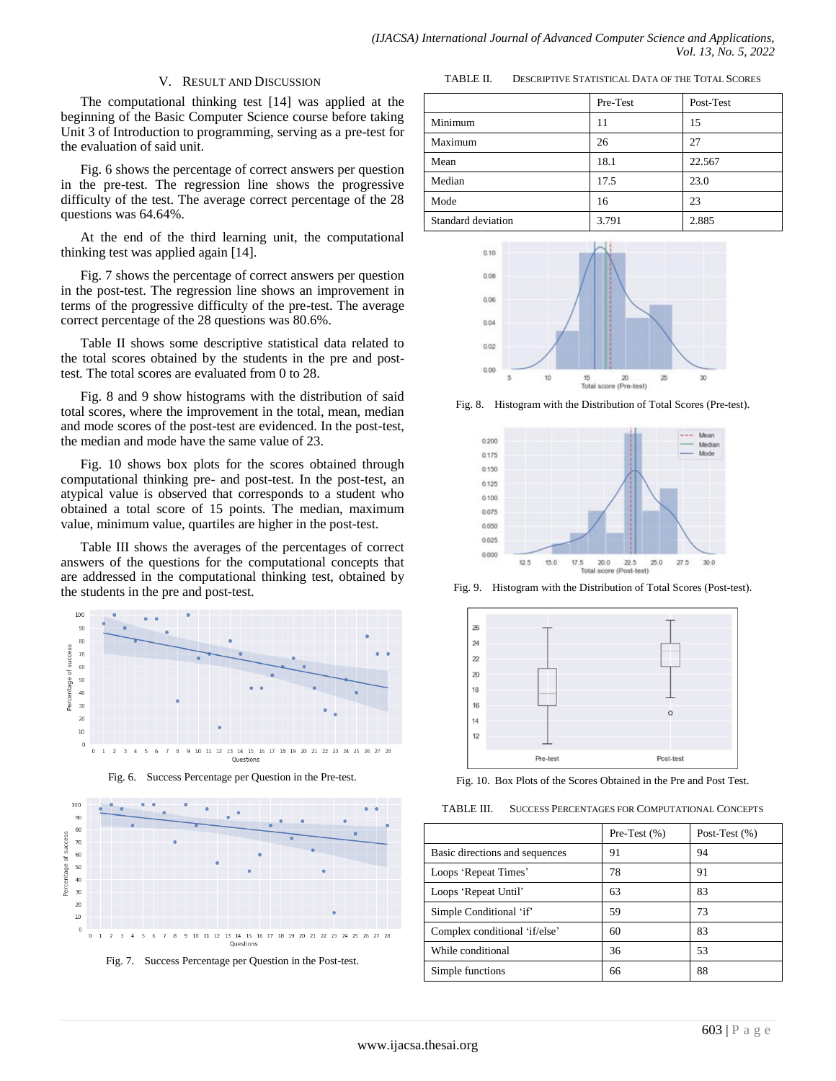#### V. RESULT AND DISCUSSION

The computational thinking test [14] was applied at the beginning of the Basic Computer Science course before taking Unit 3 of Introduction to programming, serving as a pre-test for the evaluation of said unit.

Fig. 6 shows the percentage of correct answers per question in the pre-test. The regression line shows the progressive difficulty of the test. The average correct percentage of the 28 questions was 64.64%.

At the end of the third learning unit, the computational thinking test was applied again [14].

Fig. 7 shows the percentage of correct answers per question in the post-test. The regression line shows an improvement in terms of the progressive difficulty of the pre-test. The average correct percentage of the 28 questions was 80.6%.

Table II shows some descriptive statistical data related to the total scores obtained by the students in the pre and posttest. The total scores are evaluated from 0 to 28.

Fig. 8 and 9 show histograms with the distribution of said total scores, where the improvement in the total, mean, median and mode scores of the post-test are evidenced. In the post-test, the median and mode have the same value of 23.

Fig. 10 shows box plots for the scores obtained through computational thinking pre- and post-test. In the post-test, an atypical value is observed that corresponds to a student who obtained a total score of 15 points. The median, maximum value, minimum value, quartiles are higher in the post-test.

Table III shows the averages of the percentages of correct answers of the questions for the computational concepts that are addressed in the computational thinking test, obtained by the students in the pre and post-test.



Fig. 6. Success Percentage per Question in the Pre-test.



Fig. 7. Success Percentage per Question in the Post-test.

TABLE II. DESCRIPTIVE STATISTICAL DATA OF THE TOTAL SCORES

|                    | Pre-Test | Post-Test |
|--------------------|----------|-----------|
| Minimum            | 11       | 15        |
| Maximum            | 26       | 27        |
| Mean               | 18.1     | 22.567    |
| Median             | 17.5     | 23.0      |
| Mode               | 16       | 23        |
| Standard deviation | 3.791    | 2.885     |



Fig. 8. Histogram with the Distribution of Total Scores (Pre-test).



Fig. 9. Histogram with the Distribution of Total Scores (Post-test).



Fig. 10. Box Plots of the Scores Obtained in the Pre and Post Test.

| TABLE III. | SUCCESS PERCENTAGES FOR COMPUTATIONAL CONCEPTS |
|------------|------------------------------------------------|
|------------|------------------------------------------------|

|                                | Pre-Test $(\% )$ | Post-Test $(\% )$ |
|--------------------------------|------------------|-------------------|
| Basic directions and sequences | 91               | 94                |
| Loops 'Repeat Times'           | 78               | 91                |
| Loops 'Repeat Until'           | 63               | 83                |
| Simple Conditional 'if'        | 59               | 73                |
| Complex conditional 'if/else'  | 60               | 83                |
| While conditional              | 36               | 53                |
| Simple functions               | 66               | 88                |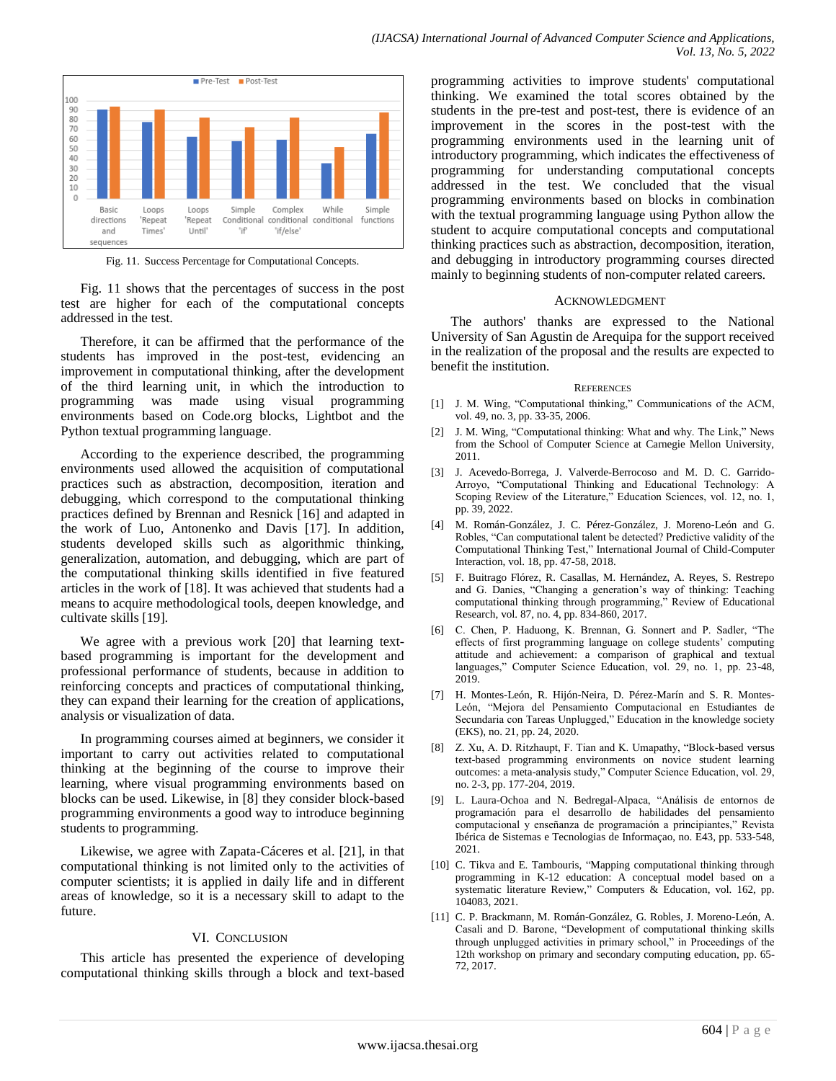

Fig. 11. Success Percentage for Computational Concepts.

Fig. 11 shows that the percentages of success in the post test are higher for each of the computational concepts addressed in the test.

Therefore, it can be affirmed that the performance of the students has improved in the post-test, evidencing an improvement in computational thinking, after the development of the third learning unit, in which the introduction to programming was made using visual programming environments based on Code.org blocks, Lightbot and the Python textual programming language.

According to the experience described, the programming environments used allowed the acquisition of computational practices such as abstraction, decomposition, iteration and debugging, which correspond to the computational thinking practices defined by Brennan and Resnick [16] and adapted in the work of Luo, Antonenko and Davis [17]. In addition, students developed skills such as algorithmic thinking, generalization, automation, and debugging, which are part of the computational thinking skills identified in five featured articles in the work of [18]. It was achieved that students had a means to acquire methodological tools, deepen knowledge, and cultivate skills [19].

We agree with a previous work [20] that learning textbased programming is important for the development and professional performance of students, because in addition to reinforcing concepts and practices of computational thinking, they can expand their learning for the creation of applications, analysis or visualization of data.

In programming courses aimed at beginners, we consider it important to carry out activities related to computational thinking at the beginning of the course to improve their learning, where visual programming environments based on blocks can be used. Likewise, in [8] they consider block-based programming environments a good way to introduce beginning students to programming.

Likewise, we agree with Zapata-Cáceres et al. [21], in that computational thinking is not limited only to the activities of computer scientists; it is applied in daily life and in different areas of knowledge, so it is a necessary skill to adapt to the future.

## VI. CONCLUSION

This article has presented the experience of developing computational thinking skills through a block and text-based programming activities to improve students' computational thinking. We examined the total scores obtained by the students in the pre-test and post-test, there is evidence of an improvement in the scores in the post-test with the programming environments used in the learning unit of introductory programming, which indicates the effectiveness of programming for understanding computational concepts addressed in the test. We concluded that the visual programming environments based on blocks in combination with the textual programming language using Python allow the student to acquire computational concepts and computational thinking practices such as abstraction, decomposition, iteration, and debugging in introductory programming courses directed mainly to beginning students of non-computer related careers.

#### ACKNOWLEDGMENT

The authors' thanks are expressed to the National University of San Agustin de Arequipa for the support received in the realization of the proposal and the results are expected to benefit the institution.

#### **REFERENCES**

- [1] J. M. Wing, "Computational thinking," Communications of the ACM, vol. 49, no. 3, pp. 33-35, 2006.
- [2] J. M. Wing, "Computational thinking: What and why. The Link," News from the School of Computer Science at Carnegie Mellon University, 2011.
- [3] J. Acevedo-Borrega, J. Valverde-Berrocoso and M. D. C. Garrido-Arroyo, "Computational Thinking and Educational Technology: A Scoping Review of the Literature," Education Sciences, vol. 12, no. 1, pp. 39, 2022.
- [4] M. Román-González, J. C. Pérez-González, J. Moreno-León and G. Robles, "Can computational talent be detected? Predictive validity of the Computational Thinking Test," International Journal of Child-Computer Interaction, vol. 18, pp. 47-58, 2018.
- [5] F. Buitrago Flórez, R. Casallas, M. Hernández, A. Reyes, S. Restrepo and G. Danies, "Changing a generation"s way of thinking: Teaching computational thinking through programming," Review of Educational Research, vol. 87, no. 4, pp. 834-860, 2017.
- [6] C. Chen, P. Haduong, K. Brennan, G. Sonnert and P. Sadler, "The effects of first programming language on college students' computing attitude and achievement: a comparison of graphical and textual languages," Computer Science Education, vol. 29, no. 1, pp. 23-48, 2019.
- [7] H. Montes-León, R. Hijón-Neira, D. Pérez-Marín and S. R. Montes-León, "Mejora del Pensamiento Computacional en Estudiantes de Secundaria con Tareas Unplugged," Education in the knowledge society (EKS), no. 21, pp. 24, 2020.
- [8] Z. Xu, A. D. Ritzhaupt, F. Tian and K. Umapathy, "Block-based versus text-based programming environments on novice student learning outcomes: a meta-analysis study," Computer Science Education, vol. 29, no. 2-3, pp. 177-204, 2019.
- [9] L. Laura-Ochoa and N. Bedregal-Alpaca, "Análisis de entornos de programación para el desarrollo de habilidades del pensamiento computacional y enseñanza de programación a principiantes," Revista Ibérica de Sistemas e Tecnologias de Informaçao, no. E43, pp. 533-548, 2021.
- [10] C. Tikva and E. Tambouris, "Mapping computational thinking through programming in K-12 education: A conceptual model based on a systematic literature Review," Computers & Education, vol. 162, pp. 104083, 2021.
- [11] C. P. Brackmann, M. Román-González, G. Robles, J. Moreno-León, A. Casali and D. Barone, "Development of computational thinking skills through unplugged activities in primary school," in Proceedings of the 12th workshop on primary and secondary computing education, pp. 65- 72, 2017.